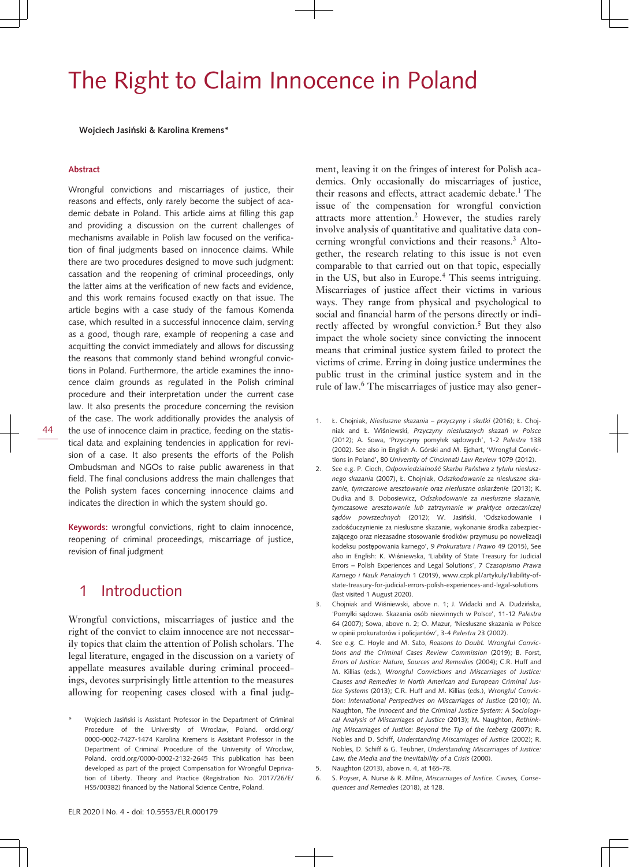# The Right to Claim Innocence in Poland

**Wojciech Jasiński & Karolina Kremens\***

#### **Abstract**

Wrongful convictions and miscarriages of justice, their reasons and effects, only rarely become the subject of academic debate in Poland. This article aims at filling this gap and providing a discussion on the current challenges of mechanisms available in Polish law focused on the verification of final judgments based on innocence claims. While there are two procedures designed to move such judgment: cassation and the reopening of criminal proceedings, only the latter aims at the verification of new facts and evidence, and this work remains focused exactly on that issue. The article begins with a case study of the famous Komenda case, which resulted in a successful innocence claim, serving as a good, though rare, example of reopening a case and acquitting the convict immediately and allows for discussing the reasons that commonly stand behind wrongful convictions in Poland. Furthermore, the article examines the innocence claim grounds as regulated in the Polish criminal procedure and their interpretation under the current case law. It also presents the procedure concerning the revision of the case. The work additionally provides the analysis of the use of innocence claim in practice, feeding on the statistical data and explaining tendencies in application for revision of a case. It also presents the efforts of the Polish Ombudsman and NGOs to raise public awareness in that field. The final conclusions address the main challenges that the Polish system faces concerning innocence claims and

44

**Keywords:** wrongful convictions, right to claim innocence, reopening of criminal proceedings, miscarriage of justice, revision of final judgment

indicates the direction in which the system should go.

### 1 Introduction

Wrongful convictions, miscarriages of justice and the right of the convict to claim innocence are not necessarily topics that claim the attention of Polish scholars. The legal literature, engaged in the discussion on a variety of appellate measures available during criminal proceedings, devotes surprisingly little attention to the measures allowing for reopening cases closed with a final judg-

Wojciech Jasiński is Assistant Professor in the Department of Criminal Procedure of the University of Wroclaw, Poland. orcid.org/ 0000-0002-7427-1474 Karolina Kremens is Assistant Professor in the Department of Criminal Procedure of the University of Wroclaw, Poland. orcid.org/0000-0002-2132-2645 This publication has been developed as part of the project Compensation for Wrongful Deprivation of Liberty. Theory and Practice (Registration No. 2017/26/E/ HS5/00382) financed by the National Science Centre, Poland.

ment, leaving it on the fringes of interest for Polish academics. Only occasionally do miscarriages of justice, their reasons and effects, attract academic debate.<sup>1</sup> The issue of the compensation for wrongful conviction attracts more attention.<sup>2</sup> However, the studies rarely involve analysis of quantitative and qualitative data concerning wrongful convictions and their reasons. $3$  Altogether, the research relating to this issue is not even comparable to that carried out on that topic, especially in the US, but also in Europe.<sup>4</sup> This seems intriguing. Miscarriages of justice affect their victims in various ways. They range from physical and psychological to social and financial harm of the persons directly or indirectly affected by wrongful conviction.<sup>5</sup> But they also impact the whole society since convicting the innocent means that criminal justice system failed to protect the victims of crime. Erring in doing justice undermines the public trust in the criminal justice system and in the rule of law.<sup>6</sup> The miscarriages of justice may also gener-

- 1. Ł. Chojniak, *Niesłuszne skazania przyczyny i skutki* (2016); Ł. Chojniak and Ł. Wiśniewski, *Przyczyny niesłusznych skazań w Polsce* (2012); A. Sowa, 'Przyczyny pomyłek sądowych', 1-2 *Palestra* 138 (2002). See also in English A. Górski and M. Ejchart, 'Wrongful Convictions in Poland', 80 *University of Cincinnati Law Review* 1079 (2012).
- 2. See e.g. P. Cioch, *Odpowiedzialność Skarbu Państwa z tytułu niesłusznego skazania* (2007), Ł. Chojniak, *Odszkodowanie za niesłuszne skazanie, tymczasowe aresztowanie oraz niesłuszne oskarżenie* (2013); K. Dudka and B. Dobosiewicz, *Odszkodowanie za niesłuszne skazanie, tymczasowe aresztowanie lub zatrzymanie w praktyce orzeczniczej sądów powszechnych* (2012); W. Jasiński, 'Odszkodowanie i zadośćuczynienie za niesłuszne skazanie, wykonanie środka zabezpieczającego oraz niezasadne stosowanie środków przymusu po nowelizacji kodeksu postępowania karnego', 9 *Prokuratura i Prawo* 49 (2015), See also in English: K. Wiśniewska, 'Liability of State Treasury for Judicial Errors – Polish Experiences and Legal Solutions', 7 *Czasopismo Prawa Karnego i Nauk Penalnych* 1 (2019), [www.czpk.pl/artykuly/liability-of](http://www.czpk.pl/artykuly/liability-of-state-treasury-for-judicial-errors-polish-experiences-and-legal-solutions)[state-treasury-for-judicial-errors-polish-experiences-and-legal-solutions](http://www.czpk.pl/artykuly/liability-of-state-treasury-for-judicial-errors-polish-experiences-and-legal-solutions) (last visited 1 August 2020).
- 3. Chojniak and Wiśniewski, above n. 1; J. Widacki and A. Dudzińska, 'Pomyłki sądowe. Skazania osób niewinnych w Polsce', 11-12 *Palestra* 64 (2007); Sowa, above n. 2; O. Mazur, 'Niesłuszne skazania w Polsce w opinii prokuratorów i policjantów', 3-4 *Palestra* 23 (2002).
- 4. See e.g. C. Hoyle and M. Sato, *Reasons to Doubt. Wrongful Convictions and the Criminal Cases Review Commission* (2019); B. Forst, *Errors of Justice: Nature, Sources and Remedies* (2004); C.R. Huff and M. Killias (eds.), *Wrongful Convictions and Miscarriages of Justice: Causes and Remedies in North American and European Criminal Justice Systems* (2013); C.R. Huff and M. Killias (eds.), *Wrongful Conviction: International Perspectives on Miscarriages of Justice* (2010); M. Naughton, *The Innocent and the Criminal Justice System: A Sociological Analysis of Miscarriages of Justice* (2013); M. Naughton, *Rethinking Miscarriages of Justice: Beyond the Tip of the Iceberg* (2007); R. Nobles and D. Schiff, *Understanding Miscarriages of Justice* (2002); R. Nobles, D. Schiff & G. Teubner, *Understanding Miscarriages of Justice: Law, the Media and the Inevitability of a Crisis* (2000).
- 5. Naughton (2013), above n. 4, at 165-78.
- 6. S. Poyser, A. Nurse & R. Milne, *Miscarriages of Justice. Causes, Consequences and Remedies* (2018), at 128.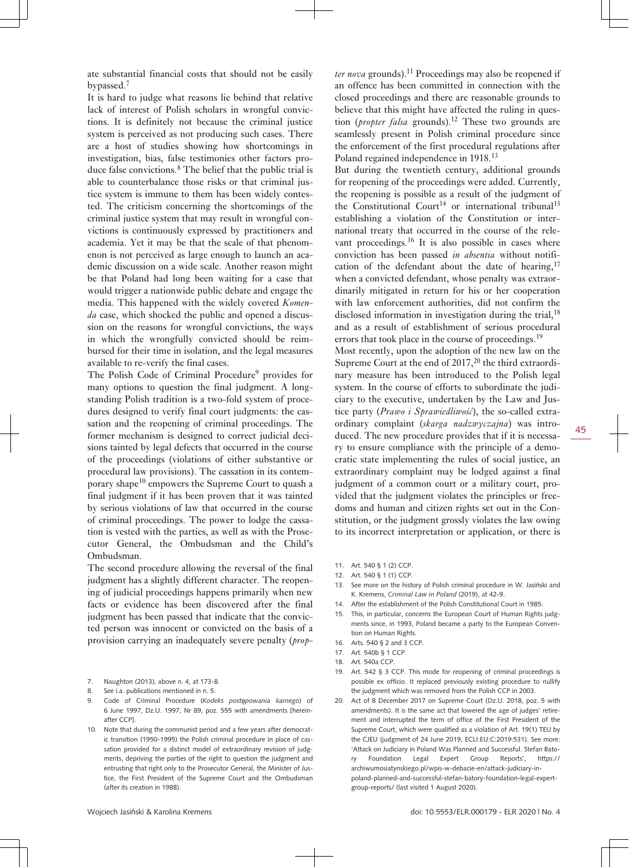ate substantial financial costs that should not be easily bypassed.<sup>7</sup>

It is hard to judge what reasons lie behind that relative lack of interest of Polish scholars in wrongful convictions. It is definitely not because the criminal justice system is perceived as not producing such cases. There are a host of studies showing how shortcomings in investigation, bias, false testimonies other factors produce false convictions.<sup>8</sup> The belief that the public trial is able to counterbalance those risks or that criminal justice system is immune to them has been widely contested. The criticism concerning the shortcomings of the criminal justice system that may result in wrongful convictions is continuously expressed by practitioners and academia. Yet it may be that the scale of that phenomenon is not perceived as large enough to launch an academic discussion on a wide scale. Another reason might be that Poland had long been waiting for a case that would trigger a nationwide public debate and engage the media. This happened with the widely covered *Komenda* case, which shocked the public and opened a discussion on the reasons for wrongful convictions, the ways in which the wrongfully convicted should be reimbursed for their time in isolation, and the legal measures available to re-verify the final cases.

The Polish Code of Criminal Procedure<sup>9</sup> provides for many options to question the final judgment. A longstanding Polish tradition is a two-fold system of procedures designed to verify final court judgments: the cassation and the reopening of criminal proceedings. The former mechanism is designed to correct judicial decisions tainted by legal defects that occurred in the course of the proceedings (violations of either substantive or procedural law provisions). The cassation in its contemporary shape<sup>10</sup> empowers the Supreme Court to quash a final judgment if it has been proven that it was tainted by serious violations of law that occurred in the course of criminal proceedings. The power to lodge the cassation is vested with the parties, as well as with the Prosecutor General, the Ombudsman and the Child's Ombudsman.

The second procedure allowing the reversal of the final judgment has a slightly different character. The reopening of judicial proceedings happens primarily when new facts or evidence has been discovered after the final judgment has been passed that indicate that the convicted person was innocent or convicted on the basis of a provision carrying an inadequately severe penalty (*prop-*

- 7. Naughton (2013), above n. 4, at 173-8.
- 8. See i.a. publications mentioned in n. 5.
- 9. Code of Criminal Procedure (*Kodeks postępowania karnego*) of 6 June 1997, Dz.U. 1997, Nr 89, poz. 555 with amendments [hereinafter CCP].
- 10. Note that during the communist period and a few years after democratic transition (1950-1995) the Polish criminal procedure in place of cassation provided for a distinct model of extraordinary revision of judgments, depriving the parties of the right to question the judgment and entrusting that right only to the Prosecutor General, the Minister of Justice, the First President of the Supreme Court and the Ombudsman (after its creation in 1988).

*ter nova* grounds).<sup>11</sup> Proceedings may also be reopened if an offence has been committed in connection with the closed proceedings and there are reasonable grounds to believe that this might have affected the ruling in question (*propter falsa* grounds).<sup>12</sup> These two grounds are seamlessly present in Polish criminal procedure since the enforcement of the first procedural regulations after Poland regained independence in 1918.<sup>13</sup>

But during the twentieth century, additional grounds for reopening of the proceedings were added. Currently, the reopening is possible as a result of the judgment of the Constitutional Court<sup>14</sup> or international tribunal<sup>15</sup> establishing a violation of the Constitution or international treaty that occurred in the course of the relevant proceedings.<sup>16</sup> It is also possible in cases where conviction has been passed *in absentia* without notification of the defendant about the date of hearing, $17$ when a convicted defendant, whose penalty was extraordinarily mitigated in return for his or her cooperation with law enforcement authorities, did not confirm the disclosed information in investigation during the trial,<sup>18</sup> and as a result of establishment of serious procedural errors that took place in the course of proceedings. $19$ 

Most recently, upon the adoption of the new law on the Supreme Court at the end of  $2017$ ,<sup>20</sup> the third extraordinary measure has been introduced to the Polish legal system. In the course of efforts to subordinate the judiciary to the executive, undertaken by the Law and Justice party (*Prawo i Sprawiedliwość*), the so-called extraordinary complaint (*skarga nadzwyczajna*) was introduced. The new procedure provides that if it is necessary to ensure compliance with the principle of a democratic state implementing the rules of social justice, an extraordinary complaint may be lodged against a final judgment of a common court or a military court, provided that the judgment violates the principles or freedoms and human and citizen rights set out in the Constitution, or the judgment grossly violates the law owing to its incorrect interpretation or application, or there is

- 11. Art. 540 § 1 (2) CCP.
- 12. Art. 540 § 1 (1) CCP.
- 13. See more on the history of Polish criminal procedure in W. Jasiński and K. Kremens, *Criminal Law in Poland* (2019), at 42-9.
- 14. After the establishment of the Polish Constitutional Court in 1985.
- 15. This, in particular, concerns the European Court of Human Rights judgments since, in 1993, Poland became a party to the European Convention on Human Rights.
- 16. Arts. 540 § 2 and 3 CCP.
- 17. Art. 540b § 1 CCP.
- 18. Art. 540a CCP.
- 19. Art. 542 § 3 CCP. This mode for reopening of criminal proceedings is possible ex officio. It replaced previously existing procedure to nullify the judgment which was removed from the Polish CCP in 2003.
- 20. Act of 8 December 2017 on Supreme Court (Dz.U. 2018, poz. 5 with amendments). It is the same act that lowered the age of judges' retirement and interrupted the term of office of the First President of the Supreme Court, which were qualified as a violation of Art. 19(1) TEU by the CJEU (judgment of 24 June 2019, ECLI:EU:C:2019:531). See more: 'Attack on Judiciary in Poland Was Planned and Successful. Stefan Batory Foundation Legal Expert Group Reports', [https://](http://https://archiwumosiatynskiego.pl/wpis-w-debacie-en/attack-judiciary-in-poland-planned-and-successful-stefan-batory-foundation-legal-expert-group-reports/) [archiwumosiatynskiego.pl/wpis-w-debacie-en/attack-judiciary-in](http://https://archiwumosiatynskiego.pl/wpis-w-debacie-en/attack-judiciary-in-poland-planned-and-successful-stefan-batory-foundation-legal-expert-group-reports/)[poland-planned-and-successful-stefan-batory-foundation-legal-expert](http://https://archiwumosiatynskiego.pl/wpis-w-debacie-en/attack-judiciary-in-poland-planned-and-successful-stefan-batory-foundation-legal-expert-group-reports/)[group-reports/](http://https://archiwumosiatynskiego.pl/wpis-w-debacie-en/attack-judiciary-in-poland-planned-and-successful-stefan-batory-foundation-legal-expert-group-reports/) (last visited 1 August 2020).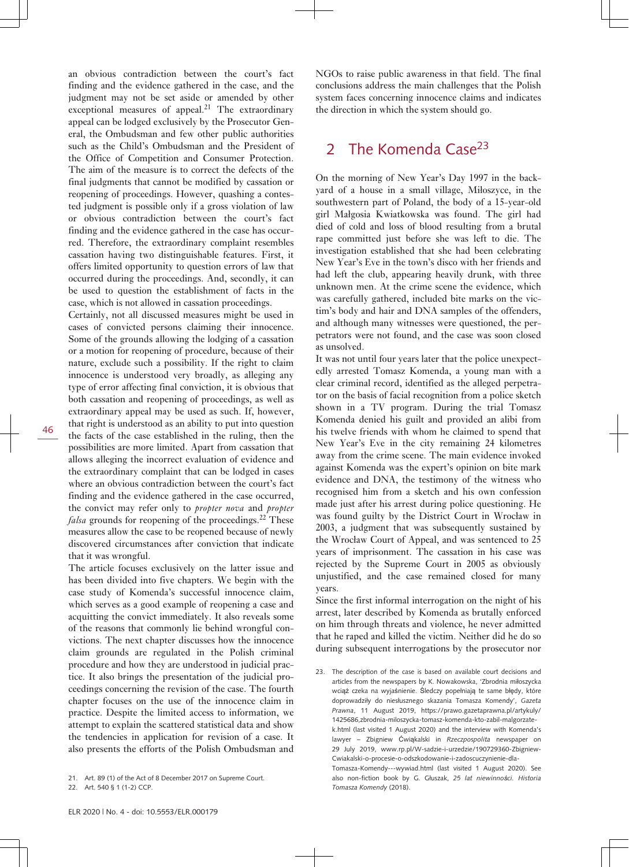an obvious contradiction between the court's fact finding and the evidence gathered in the case, and the judgment may not be set aside or amended by other exceptional measures of appeal.<sup>21</sup> The extraordinary appeal can be lodged exclusively by the Prosecutor General, the Ombudsman and few other public authorities such as the Child's Ombudsman and the President of the Office of Competition and Consumer Protection. The aim of the measure is to correct the defects of the final judgments that cannot be modified by cassation or reopening of proceedings. However, quashing a contested judgment is possible only if a gross violation of law or obvious contradiction between the court's fact finding and the evidence gathered in the case has occurred. Therefore, the extraordinary complaint resembles cassation having two distinguishable features. First, it offers limited opportunity to question errors of law that occurred during the proceedings. And, secondly, it can be used to question the establishment of facts in the case, which is not allowed in cassation proceedings.

Certainly, not all discussed measures might be used in cases of convicted persons claiming their innocence. Some of the grounds allowing the lodging of a cassation or a motion for reopening of procedure, because of their nature, exclude such a possibility. If the right to claim innocence is understood very broadly, as alleging any type of error affecting final conviction, it is obvious that both cassation and reopening of proceedings, as well as extraordinary appeal may be used as such. If, however, that right is understood as an ability to put into question the facts of the case established in the ruling, then the possibilities are more limited. Apart from cassation that allows alleging the incorrect evaluation of evidence and the extraordinary complaint that can be lodged in cases where an obvious contradiction between the court's fact finding and the evidence gathered in the case occurred, the convict may refer only to *propter nova* and *propter falsa* grounds for reopening of the proceedings.<sup>22</sup> These measures allow the case to be reopened because of newly discovered circumstances after conviction that indicate that it was wrongful.

The article focuses exclusively on the latter issue and has been divided into five chapters. We begin with the case study of Komenda's successful innocence claim, which serves as a good example of reopening a case and acquitting the convict immediately. It also reveals some of the reasons that commonly lie behind wrongful convictions. The next chapter discusses how the innocence claim grounds are regulated in the Polish criminal procedure and how they are understood in judicial practice. It also brings the presentation of the judicial proceedings concerning the revision of the case. The fourth chapter focuses on the use of the innocence claim in practice. Despite the limited access to information, we attempt to explain the scattered statistical data and show the tendencies in application for revision of a case. It also presents the efforts of the Polish Ombudsman and

NGOs to raise public awareness in that field. The final conclusions address the main challenges that the Polish system faces concerning innocence claims and indicates the direction in which the system should go.

# 2 The Komenda Case<sup>23</sup>

On the morning of New Year's Day 1997 in the backyard of a house in a small village, Miłoszyce, in the southwestern part of Poland, the body of a 15-year-old girl Małgosia Kwiatkowska was found. The girl had died of cold and loss of blood resulting from a brutal rape committed just before she was left to die. The investigation established that she had been celebrating New Year's Eve in the town's disco with her friends and had left the club, appearing heavily drunk, with three unknown men. At the crime scene the evidence, which was carefully gathered, included bite marks on the victim's body and hair and DNA samples of the offenders, and although many witnesses were questioned, the perpetrators were not found, and the case was soon closed as unsolved.

It was not until four years later that the police unexpectedly arrested Tomasz Komenda, a young man with a clear criminal record, identified as the alleged perpetrator on the basis of facial recognition from a police sketch shown in a TV program. During the trial Tomasz Komenda denied his guilt and provided an alibi from his twelve friends with whom he claimed to spend that New Year's Eve in the city remaining 24 kilometres away from the crime scene. The main evidence invoked against Komenda was the expert's opinion on bite mark evidence and DNA, the testimony of the witness who recognised him from a sketch and his own confession made just after his arrest during police questioning. He was found guilty by the District Court in Wrocław in 2003, a judgment that was subsequently sustained by the Wrocław Court of Appeal, and was sentenced to 25 years of imprisonment. The cassation in his case was rejected by the Supreme Court in 2005 as obviously unjustified, and the case remained closed for many years.

Since the first informal interrogation on the night of his arrest, later described by Komenda as brutally enforced on him through threats and violence, he never admitted that he raped and killed the victim. Neither did he do so during subsequent interrogations by the prosecutor nor

<sup>21.</sup> Art. 89 (1) of the Act of 8 December 2017 on Supreme Court.

<sup>22.</sup> Art. 540 § 1 (1-2) CCP.

<sup>23.</sup> The description of the case is based on available court decisions and articles from the newspapers by K. Nowakowska, 'Zbrodnia miłoszycka wciąż czeka na wyjaśnienie. Śledczy popełniają te same błędy, które doprowadziły do niesłusznego skazania Tomasza Komendy', *Gazeta Prawna*, 11 August 2019, [https://prawo.gazetaprawna.pl/artykuly/](https://prawo.gazetaprawna.pl/artykuly/1425686,zbrodnia-miloszycka-tomasz-komenda-kto-zabil-malgorzate-k.html) [1425686,zbrodnia-miloszycka-tomasz-komenda-kto-zabil-malgorzate](https://prawo.gazetaprawna.pl/artykuly/1425686,zbrodnia-miloszycka-tomasz-komenda-kto-zabil-malgorzate-k.html)[k.html](https://prawo.gazetaprawna.pl/artykuly/1425686,zbrodnia-miloszycka-tomasz-komenda-kto-zabil-malgorzate-k.html) (last visited 1 August 2020) and the interview with Komenda's lawyer – Zbigniew Ćwiąkalski in *Rzeczpospolita* newspaper on 29 July 2019, [www.rp.pl/W-sadzie-i-urzedzie/190729360-Zbigniew-](http://www.rp.pl/W-sadzie-i-urzedzie/190729360-Zbigniew-Cwiakalski-o-procesie-o-odszkodowanie-i-zadoscuczynienie-dla-Tomasza-Komendy---wywiad.html)[Cwiakalski-o-procesie-o-odszkodowanie-i-zadoscuczynienie-dla-](http://www.rp.pl/W-sadzie-i-urzedzie/190729360-Zbigniew-Cwiakalski-o-procesie-o-odszkodowanie-i-zadoscuczynienie-dla-Tomasza-Komendy---wywiad.html)[Tomasza-Komendy---wywiad.html](http://www.rp.pl/W-sadzie-i-urzedzie/190729360-Zbigniew-Cwiakalski-o-procesie-o-odszkodowanie-i-zadoscuczynienie-dla-Tomasza-Komendy---wywiad.html) (last visited 1 August 2020). See also non-fiction book by G. Głuszak, *25 lat niewinności. Historia Tomasza Komendy* (2018).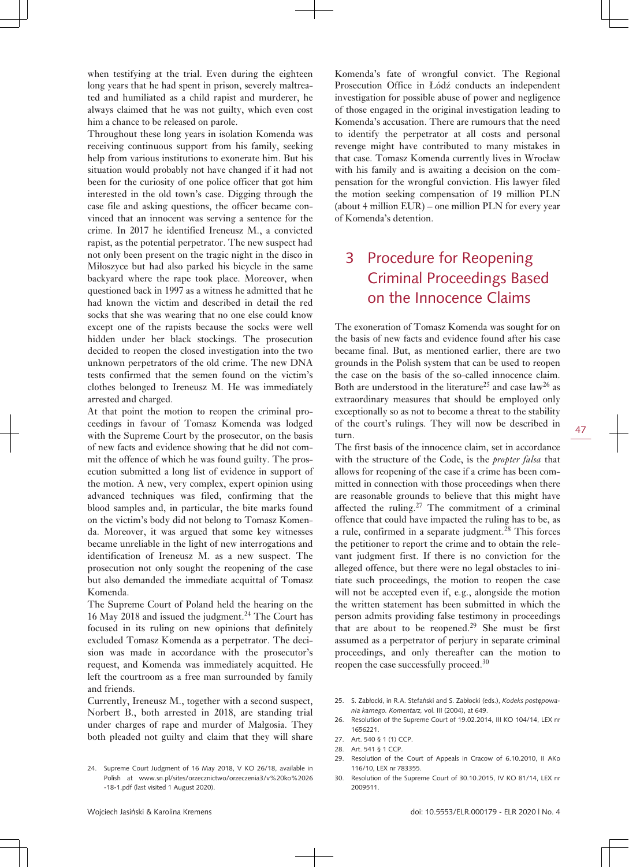when testifying at the trial. Even during the eighteen long years that he had spent in prison, severely maltreated and humiliated as a child rapist and murderer, he always claimed that he was not guilty, which even cost him a chance to be released on parole.

Throughout these long years in isolation Komenda was receiving continuous support from his family, seeking help from various institutions to exonerate him. But his situation would probably not have changed if it had not been for the curiosity of one police officer that got him interested in the old town's case. Digging through the case file and asking questions, the officer became convinced that an innocent was serving a sentence for the crime. In 2017 he identified Ireneusz M., a convicted rapist, as the potential perpetrator. The new suspect had not only been present on the tragic night in the disco in Miłoszyce but had also parked his bicycle in the same backyard where the rape took place. Moreover, when questioned back in 1997 as a witness he admitted that he had known the victim and described in detail the red socks that she was wearing that no one else could know except one of the rapists because the socks were well hidden under her black stockings. The prosecution decided to reopen the closed investigation into the two unknown perpetrators of the old crime. The new DNA tests confirmed that the semen found on the victim's clothes belonged to Ireneusz M. He was immediately arrested and charged.

At that point the motion to reopen the criminal proceedings in favour of Tomasz Komenda was lodged with the Supreme Court by the prosecutor, on the basis of new facts and evidence showing that he did not commit the offence of which he was found guilty. The prosecution submitted a long list of evidence in support of the motion. A new, very complex, expert opinion using advanced techniques was filed, confirming that the blood samples and, in particular, the bite marks found on the victim's body did not belong to Tomasz Komenda. Moreover, it was argued that some key witnesses became unreliable in the light of new interrogations and identification of Ireneusz M. as a new suspect. The prosecution not only sought the reopening of the case but also demanded the immediate acquittal of Tomasz Komenda.

The Supreme Court of Poland held the hearing on the 16 May 2018 and issued the judgment.<sup>24</sup> The Court has focused in its ruling on new opinions that definitely excluded Tomasz Komenda as a perpetrator. The decision was made in accordance with the prosecutor's request, and Komenda was immediately acquitted. He left the courtroom as a free man surrounded by family and friends.

Currently, Ireneusz M., together with a second suspect, Norbert B., both arrested in 2018, are standing trial under charges of rape and murder of Małgosia. They both pleaded not guilty and claim that they will share

Komenda's fate of wrongful convict. The Regional Prosecution Office in Łódź conducts an independent investigation for possible abuse of power and negligence of those engaged in the original investigation leading to Komenda's accusation. There are rumours that the need to identify the perpetrator at all costs and personal revenge might have contributed to many mistakes in that case. Tomasz Komenda currently lives in Wrocław with his family and is awaiting a decision on the compensation for the wrongful conviction. His lawyer filed the motion seeking compensation of 19 million PLN (about 4 million EUR) – one million PLN for every year of Komenda's detention.

## 3 Procedure for Reopening Criminal Proceedings Based on the Innocence Claims

The exoneration of Tomasz Komenda was sought for on the basis of new facts and evidence found after his case became final. But, as mentioned earlier, there are two grounds in the Polish system that can be used to reopen the case on the basis of the so-called innocence claim. Both are understood in the literature<sup>25</sup> and case law<sup>26</sup> as extraordinary measures that should be employed only exceptionally so as not to become a threat to the stability of the court's rulings. They will now be described in turn.

The first basis of the innocence claim, set in accordance with the structure of the Code, is the *propter falsa* that allows for reopening of the case if a crime has been committed in connection with those proceedings when there are reasonable grounds to believe that this might have affected the ruling.<sup>27</sup> The commitment of a criminal offence that could have impacted the ruling has to be, as a rule, confirmed in a separate judgment.<sup>28</sup> This forces the petitioner to report the crime and to obtain the relevant judgment first. If there is no conviction for the alleged offence, but there were no legal obstacles to initiate such proceedings, the motion to reopen the case will not be accepted even if, e.g., alongside the motion the written statement has been submitted in which the person admits providing false testimony in proceedings that are about to be reopened.<sup>29</sup> She must be first assumed as a perpetrator of perjury in separate criminal proceedings, and only thereafter can the motion to reopen the case successfully proceed.<sup>30</sup>

- 25. S. Zabłocki, in R.A. Stefański and S. Zabłocki (eds.), *Kodeks postępowania karnego. Komentarz,* vol. III (2004), at 649.
- 26. Resolution of the Supreme Court of 19.02.2014, III KO 104/14, LEX nr 1656221.
- 27. Art. 540 § 1 (1) CCP.
- 28. Art. 541 § 1 CCP.
- 29. Resolution of the Court of Appeals in Cracow of 6.10.2010, II AKo 116/10, LEX nr 783355.
- 30. Resolution of the Supreme Court of 30.10.2015, IV KO 81/14, LEX nr 2009511.

<sup>24.</sup> Supreme Court Judgment of 16 May 2018, V KO 26/18, available in Polish at [www.sn.pl/sites/orzecznictwo/orzeczenia3/v%20ko%2026](http://www.sn.pl/sites/orzecznictwo/orzeczenia3/v%20ko%2026-18-1.pdf) [-18-1.pdf](http://www.sn.pl/sites/orzecznictwo/orzeczenia3/v%20ko%2026-18-1.pdf) (last visited 1 August 2020).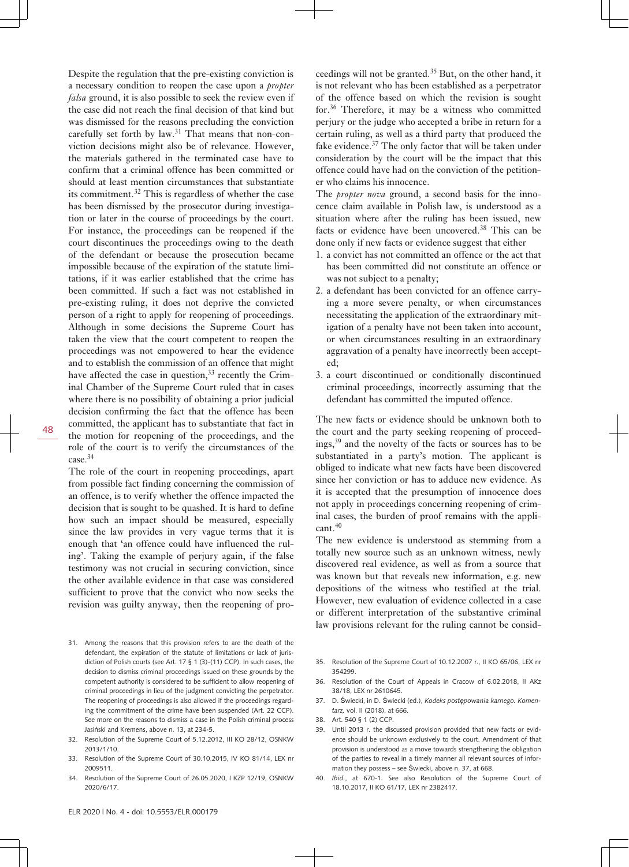Despite the regulation that the pre-existing conviction is a necessary condition to reopen the case upon a *propter falsa* ground, it is also possible to seek the review even if the case did not reach the final decision of that kind but was dismissed for the reasons precluding the conviction carefully set forth by law.31 That means that non-conviction decisions might also be of relevance. However, the materials gathered in the terminated case have to confirm that a criminal offence has been committed or should at least mention circumstances that substantiate its commitment.<sup>32</sup> This is regardless of whether the case has been dismissed by the prosecutor during investigation or later in the course of proceedings by the court. For instance, the proceedings can be reopened if the court discontinues the proceedings owing to the death of the defendant or because the prosecution became impossible because of the expiration of the statute limitations, if it was earlier established that the crime has been committed. If such a fact was not established in pre-existing ruling, it does not deprive the convicted person of a right to apply for reopening of proceedings. Although in some decisions the Supreme Court has taken the view that the court competent to reopen the proceedings was not empowered to hear the evidence and to establish the commission of an offence that might have affected the case in question,  $33$  recently the Criminal Chamber of the Supreme Court ruled that in cases where there is no possibility of obtaining a prior judicial decision confirming the fact that the offence has been committed, the applicant has to substantiate that fact in the motion for reopening of the proceedings, and the role of the court is to verify the circumstances of the case.<sup>34</sup>

The role of the court in reopening proceedings, apart from possible fact finding concerning the commission of an offence, is to verify whether the offence impacted the decision that is sought to be quashed. It is hard to define how such an impact should be measured, especially since the law provides in very vague terms that it is enough that 'an offence could have influenced the ruling'. Taking the example of perjury again, if the false testimony was not crucial in securing conviction, since the other available evidence in that case was considered sufficient to prove that the convict who now seeks the revision was guilty anyway, then the reopening of pro-

- 31. Among the reasons that this provision refers to are the death of the defendant, the expiration of the statute of limitations or lack of jurisdiction of Polish courts (see Art. 17 § 1 (3)-(11) CCP). In such cases, the decision to dismiss criminal proceedings issued on these grounds by the competent authority is considered to be sufficient to allow reopening of criminal proceedings in lieu of the judgment convicting the perpetrator. The reopening of proceedings is also allowed if the proceedings regarding the commitment of the crime have been suspended (Art. 22 CCP). See more on the reasons to dismiss a case in the Polish criminal process Jasiński and Kremens, above n. 13, at 234-5.
- 32. Resolution of the Supreme Court of 5.12.2012, III KO 28/12, OSNKW 2013/1/10.
- 33. Resolution of the Supreme Court of 30.10.2015, IV KO 81/14, LEX nr
- 34. Resolution of the Supreme Court of 26.05.2020, I KZP 12/19, OSNKW

ceedings will not be granted.<sup>35</sup> But, on the other hand, it is not relevant who has been established as a perpetrator of the offence based on which the revision is sought for.<sup>36</sup> Therefore, it may be a witness who committed perjury or the judge who accepted a bribe in return for a certain ruling, as well as a third party that produced the fake evidence.<sup>37</sup> The only factor that will be taken under consideration by the court will be the impact that this offence could have had on the conviction of the petitioner who claims his innocence.

The *propter nova* ground, a second basis for the innocence claim available in Polish law, is understood as a situation where after the ruling has been issued, new facts or evidence have been uncovered.<sup>38</sup> This can be done only if new facts or evidence suggest that either

- 1. a convict has not committed an offence or the act that has been committed did not constitute an offence or was not subject to a penalty;
- 2. a defendant has been convicted for an offence carrying a more severe penalty, or when circumstances necessitating the application of the extraordinary mitigation of a penalty have not been taken into account, or when circumstances resulting in an extraordinary aggravation of a penalty have incorrectly been accepted;
- 3. a court discontinued or conditionally discontinued criminal proceedings, incorrectly assuming that the defendant has committed the imputed offence.

The new facts or evidence should be unknown both to the court and the party seeking reopening of proceedings,39 and the novelty of the facts or sources has to be substantiated in a party's motion. The applicant is obliged to indicate what new facts have been discovered since her conviction or has to adduce new evidence. As it is accepted that the presumption of innocence does not apply in proceedings concerning reopening of criminal cases, the burden of proof remains with the applicant.<sup>40</sup>

The new evidence is understood as stemming from a totally new source such as an unknown witness, newly discovered real evidence, as well as from a source that was known but that reveals new information, e.g. new depositions of the witness who testified at the trial. However, new evaluation of evidence collected in a case or different interpretation of the substantive criminal law provisions relevant for the ruling cannot be consid-

- 35. Resolution of the Supreme Court of 10.12.2007 r., II KO 65/06, LEX nr 354299.
- 36. Resolution of the Court of Appeals in Cracow of 6.02.2018, II AKz 38/18, LEX nr 2610645.
- 37. D. Świecki, in D. Świecki (ed.), *Kodeks postępowania karnego. Komentarz,* vol. II (2018), at 666.
- 38. Art. 540 § 1 (2) CCP.
- 39. Until 2013 r. the discussed provision provided that new facts or evidence should be unknown exclusively to the court. Amendment of that provision is understood as a move towards strengthening the obligation of the parties to reveal in a timely manner all relevant sources of information they possess – see Świecki, above n. 37, at 668.
- 40. *Ibid.*, at 670-1. See also Resolution of the Supreme Court of 18.10.2017, II KO 61/17, LEX nr 2382417.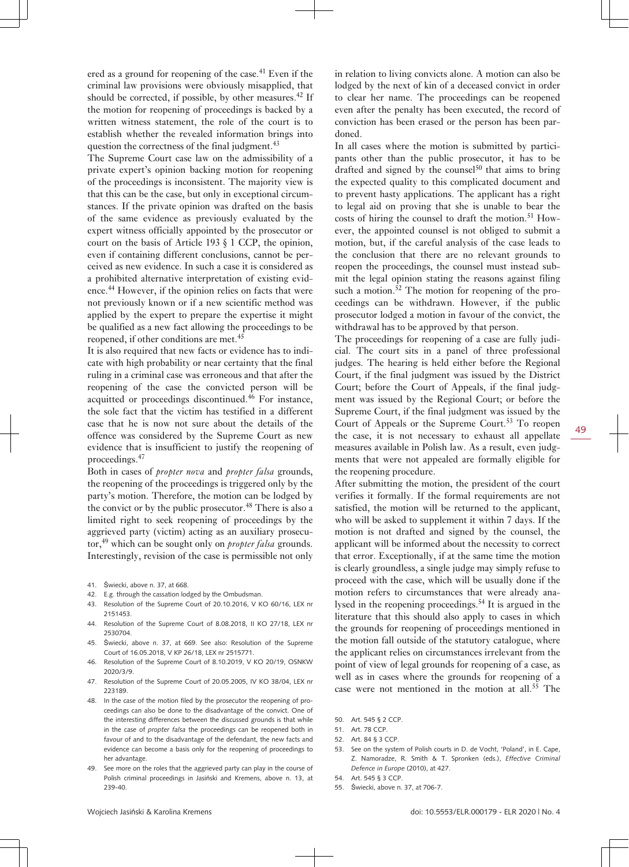ered as a ground for reopening of the case.<sup>41</sup> Even if the criminal law provisions were obviously misapplied, that should be corrected, if possible, by other measures. $42$  If the motion for reopening of proceedings is backed by a written witness statement, the role of the court is to establish whether the revealed information brings into question the correctness of the final judgment. $43$ 

The Supreme Court case law on the admissibility of a private expert's opinion backing motion for reopening of the proceedings is inconsistent. The majority view is that this can be the case, but only in exceptional circumstances. If the private opinion was drafted on the basis of the same evidence as previously evaluated by the expert witness officially appointed by the prosecutor or court on the basis of Article 193 § 1 CCP, the opinion, even if containing different conclusions, cannot be perceived as new evidence. In such a case it is considered as a prohibited alternative interpretation of existing evidence.<sup>44</sup> However, if the opinion relies on facts that were not previously known or if a new scientific method was applied by the expert to prepare the expertise it might be qualified as a new fact allowing the proceedings to be reopened, if other conditions are met.<sup>45</sup>

It is also required that new facts or evidence has to indicate with high probability or near certainty that the final ruling in a criminal case was erroneous and that after the reopening of the case the convicted person will be acquitted or proceedings discontinued.<sup>46</sup> For instance, the sole fact that the victim has testified in a different case that he is now not sure about the details of the offence was considered by the Supreme Court as new evidence that is insufficient to justify the reopening of proceedings.<sup>47</sup>

Both in cases of *propter nova* and *propter falsa* grounds, the reopening of the proceedings is triggered only by the party's motion. Therefore, the motion can be lodged by the convict or by the public prosecutor.<sup>48</sup> There is also a limited right to seek reopening of proceedings by the aggrieved party (victim) acting as an auxiliary prosecutor,<sup>49</sup> which can be sought only on *propter falsa* grounds. Interestingly, revision of the case is permissible not only

- 41. Świecki, above n. 37, at 668.
- 42. E.g. through the cassation lodged by the Ombudsman.
- 43. Resolution of the Supreme Court of 20.10.2016, V KO 60/16, LEX nr 2151453.
- 44. Resolution of the Supreme Court of 8.08.2018, II KO 27/18, LEX nr 2530704.
- 45. Świecki, above n. 37, at 669. See also: Resolution of the Supreme Court of 16.05.2018, V KP 26/18, LEX nr 2515771.
- 46. Resolution of the Supreme Court of 8.10.2019, V KO 20/19, OSNKW 2020/3/9.
- 47. Resolution of the Supreme Court of 20.05.2005, IV KO 38/04, LEX nr 223189.
- 48. In the case of the motion filed by the prosecutor the reopening of proceedings can also be done to the disadvantage of the convict. One of the interesting differences between the discussed grounds is that while in the case of *propter falsa* the proceedings can be reopened both in favour of and to the disadvantage of the defendant, the new facts and evidence can become a basis only for the reopening of proceedings to her advantage.
- 49. See more on the roles that the aggrieved party can play in the course of Polish criminal proceedings in Jasiński and Kremens, above n. 13, at 239-40.

in relation to living convicts alone. A motion can also be lodged by the next of kin of a deceased convict in order to clear her name. The proceedings can be reopened even after the penalty has been executed, the record of conviction has been erased or the person has been pardoned.

In all cases where the motion is submitted by participants other than the public prosecutor, it has to be drafted and signed by the counsel $50$  that aims to bring the expected quality to this complicated document and to prevent hasty applications. The applicant has a right to legal aid on proving that she is unable to bear the costs of hiring the counsel to draft the motion.<sup>51</sup> However, the appointed counsel is not obliged to submit a motion, but, if the careful analysis of the case leads to the conclusion that there are no relevant grounds to reopen the proceedings, the counsel must instead submit the legal opinion stating the reasons against filing such a motion.<sup>52</sup> The motion for reopening of the proceedings can be withdrawn. However, if the public prosecutor lodged a motion in favour of the convict, the withdrawal has to be approved by that person.

The proceedings for reopening of a case are fully judicial. The court sits in a panel of three professional judges. The hearing is held either before the Regional Court, if the final judgment was issued by the District Court; before the Court of Appeals, if the final judgment was issued by the Regional Court; or before the Supreme Court, if the final judgment was issued by the Court of Appeals or the Supreme Court.<sup>53</sup> To reopen the case, it is not necessary to exhaust all appellate measures available in Polish law. As a result, even judgments that were not appealed are formally eligible for the reopening procedure.

After submitting the motion, the president of the court verifies it formally. If the formal requirements are not satisfied, the motion will be returned to the applicant, who will be asked to supplement it within 7 days. If the motion is not drafted and signed by the counsel, the applicant will be informed about the necessity to correct that error. Exceptionally, if at the same time the motion is clearly groundless, a single judge may simply refuse to proceed with the case, which will be usually done if the motion refers to circumstances that were already analysed in the reopening proceedings.<sup>54</sup> It is argued in the literature that this should also apply to cases in which the grounds for reopening of proceedings mentioned in the motion fall outside of the statutory catalogue, where the applicant relies on circumstances irrelevant from the point of view of legal grounds for reopening of a case, as well as in cases where the grounds for reopening of a case were not mentioned in the motion at all.<sup>55</sup> The

- 51. Art. 78 CCP.
- 52. Art. 84 § 3 CCP.
- 53. See on the system of Polish courts in D. de Vocht, 'Poland', in E. Cape, Z. Namoradze, R. Smith & T. Spronken (eds.), *Effective Criminal Defence in Europe* (2010), at 427.
- 54. Art. 545 § 3 CCP.
- 55. Świecki, above n. 37, at 706-7.

<sup>50.</sup> Art. 545 § 2 CCP.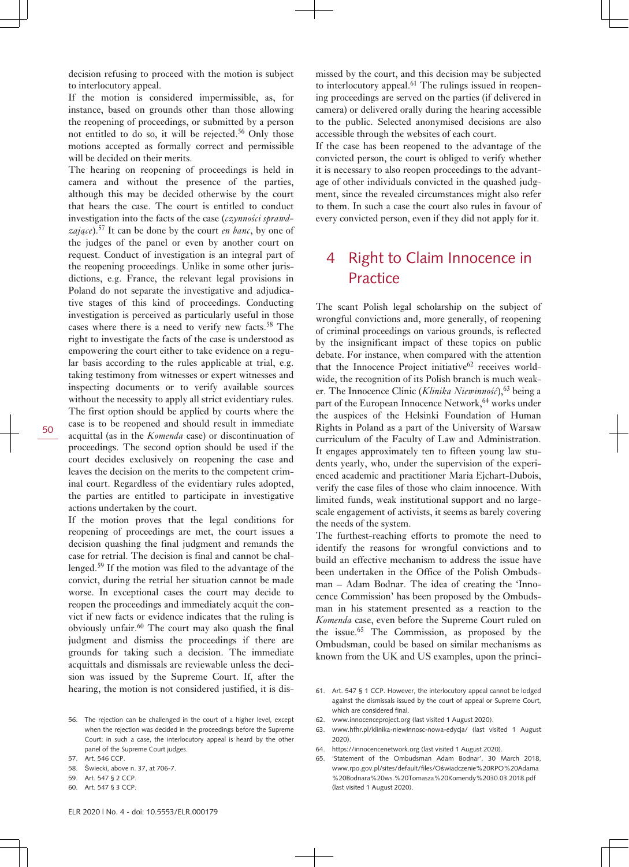decision refusing to proceed with the motion is subject to interlocutory appeal.

If the motion is considered impermissible, as, for instance, based on grounds other than those allowing the reopening of proceedings, or submitted by a person not entitled to do so, it will be rejected.<sup>56</sup> Only those motions accepted as formally correct and permissible will be decided on their merits.

The hearing on reopening of proceedings is held in camera and without the presence of the parties, although this may be decided otherwise by the court that hears the case. The court is entitled to conduct investigation into the facts of the case (*czynności sprawdzające*).<sup>57</sup> It can be done by the court *en banc*, by one of the judges of the panel or even by another court on request. Conduct of investigation is an integral part of the reopening proceedings. Unlike in some other jurisdictions, e.g. France, the relevant legal provisions in Poland do not separate the investigative and adjudicative stages of this kind of proceedings. Conducting investigation is perceived as particularly useful in those cases where there is a need to verify new facts.<sup>58</sup> The right to investigate the facts of the case is understood as empowering the court either to take evidence on a regular basis according to the rules applicable at trial, e.g. taking testimony from witnesses or expert witnesses and inspecting documents or to verify available sources without the necessity to apply all strict evidentiary rules. The first option should be applied by courts where the case is to be reopened and should result in immediate acquittal (as in the *Komenda* case) or discontinuation of proceedings. The second option should be used if the court decides exclusively on reopening the case and leaves the decision on the merits to the competent criminal court. Regardless of the evidentiary rules adopted, the parties are entitled to participate in investigative actions undertaken by the court.

If the motion proves that the legal conditions for reopening of proceedings are met, the court issues a decision quashing the final judgment and remands the case for retrial. The decision is final and cannot be challenged.59 If the motion was filed to the advantage of the convict, during the retrial her situation cannot be made worse. In exceptional cases the court may decide to reopen the proceedings and immediately acquit the convict if new facts or evidence indicates that the ruling is obviously unfair.60 The court may also quash the final judgment and dismiss the proceedings if there are grounds for taking such a decision. The immediate acquittals and dismissals are reviewable unless the decision was issued by the Supreme Court. If, after the hearing, the motion is not considered justified, it is dis-

56. The rejection can be challenged in the court of a higher level, except when the rejection was decided in the proceedings before the Supreme Court; in such a case, the interlocutory appeal is heard by the other panel of the Supreme Court judges.

59. Art. 547 § 2 CCP.

missed by the court, and this decision may be subjected to interlocutory appeal.<sup>61</sup> The rulings issued in reopening proceedings are served on the parties (if delivered in camera) or delivered orally during the hearing accessible to the public. Selected anonymised decisions are also accessible through the websites of each court.

If the case has been reopened to the advantage of the convicted person, the court is obliged to verify whether it is necessary to also reopen proceedings to the advantage of other individuals convicted in the quashed judgment, since the revealed circumstances might also refer to them. In such a case the court also rules in favour of every convicted person, even if they did not apply for it.

### 4 Right to Claim Innocence in Practice

The scant Polish legal scholarship on the subject of wrongful convictions and, more generally, of reopening of criminal proceedings on various grounds, is reflected by the insignificant impact of these topics on public debate. For instance, when compared with the attention that the Innocence Project initiative<sup>62</sup> receives worldwide, the recognition of its Polish branch is much weaker. The Innocence Clinic (*Klinika Niewinność*), 63 being a part of the European Innocence Network,<sup>64</sup> works under the auspices of the Helsinki Foundation of Human Rights in Poland as a part of the University of Warsaw curriculum of the Faculty of Law and Administration. It engages approximately ten to fifteen young law students yearly, who, under the supervision of the experienced academic and practitioner Maria Ejchart-Dubois, verify the case files of those who claim innocence. With limited funds, weak institutional support and no largescale engagement of activists, it seems as barely covering the needs of the system.

The furthest-reaching efforts to promote the need to identify the reasons for wrongful convictions and to build an effective mechanism to address the issue have been undertaken in the Office of the Polish Ombudsman – Adam Bodnar. The idea of creating the 'Innocence Commission' has been proposed by the Ombudsman in his statement presented as a reaction to the *Komenda* case, even before the Supreme Court ruled on the issue.65 The Commission, as proposed by the Ombudsman, could be based on similar mechanisms as known from the UK and US examples, upon the princi-

- 62. [www.innocenceproject.org](http://www.innocenceproject.org) (last visited 1 August 2020).
- 63. [www.hfhr.pl/klinika-niewinnosc-nowa-edycja/](http://www.hfhr.pl/klinika-niewinnosc-nowa-edycja/) (last visited 1 August 2020).
- 64.<https://innocencenetwork.org>(last visited 1 August 2020).
- 'Statement of the Ombudsman Adam Bodnar', 30 March 2018, [www.rpo.gov.pl/sites/default/files/O](http://www.rpo.gov.pl/sites/default/files/Oświadczenie%20RPO%20Adama%20Bodnara%20ws.%20Tomasza%20Komendy%2030.03.2018.pdf)świadczenie%20RPO%20Adama [%20Bodnara%20ws.%20Tomasza%20Komendy%2030.03.2018.pdf](http://www.rpo.gov.pl/sites/default/files/Oświadczenie%20RPO%20Adama%20Bodnara%20ws.%20Tomasza%20Komendy%2030.03.2018.pdf) (last visited 1 August 2020).

<sup>57.</sup> Art. 546 CCP.

<sup>58.</sup> Świecki, above n. 37, at 706-7.

<sup>60.</sup> Art. 547 § 3 CCP.

<sup>61.</sup> Art. 547 § 1 CCP. However, the interlocutory appeal cannot be lodged against the dismissals issued by the court of appeal or Supreme Court, which are considered final.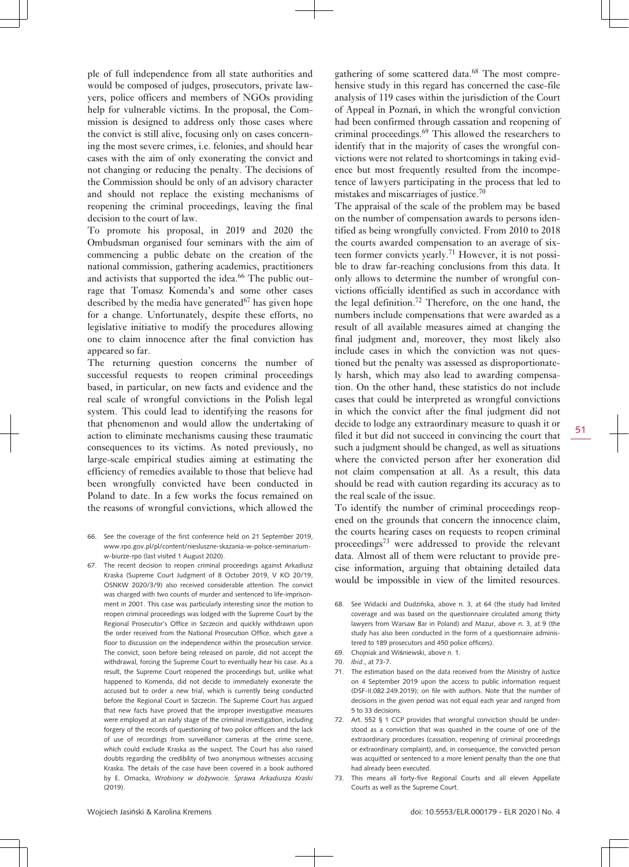ple of full independence from all state authorities and would be composed of judges, prosecutors, private lawyers, police officers and members of NGOs providing help for vulnerable victims. In the proposal, the Commission is designed to address only those cases where the convict is still alive, focusing only on cases concerning the most severe crimes, i.e. felonies, and should hear cases with the aim of only exonerating the convict and not changing or reducing the penalty. The decisions of the Commission should be only of an advisory character and should not replace the existing mechanisms of reopening the criminal proceedings, leaving the final decision to the court of law.

To promote his proposal, in 2019 and 2020 the Ombudsman organised four seminars with the aim of commencing a public debate on the creation of the national commission, gathering academics, practitioners and activists that supported the idea.<sup>66</sup> The public outrage that Tomasz Komenda's and some other cases described by the media have generated<sup>67</sup> has given hope for a change. Unfortunately, despite these efforts, no legislative initiative to modify the procedures allowing one to claim innocence after the final conviction has appeared so far.

The returning question concerns the number of successful requests to reopen criminal proceedings based, in particular, on new facts and evidence and the real scale of wrongful convictions in the Polish legal system. This could lead to identifying the reasons for that phenomenon and would allow the undertaking of action to eliminate mechanisms causing these traumatic consequences to its victims. As noted previously, no large-scale empirical studies aiming at estimating the efficiency of remedies available to those that believe had been wrongfully convicted have been conducted in Poland to date. In a few works the focus remained on the reasons of wrongful convictions, which allowed the

- 66. See the coverage of the first conference held on 21 September 2019, [www.rpo.gov.pl/pl/content/niesluszne-skazania-w-polsce-seminarium](http://www.rpo.gov.pl/pl/content/niesluszne-skazania-w-polsce-seminarium-w-biurze-rpo)[w-biurze-rpo](http://www.rpo.gov.pl/pl/content/niesluszne-skazania-w-polsce-seminarium-w-biurze-rpo) (last visited 1 August 2020).
- 67. The recent decision to reopen criminal proceedings against Arkadiusz Kraska (Supreme Court Judgment of 8 October 2019, V KO 20/19, OSNKW 2020/3/9) also received considerable attention. The convict was charged with two counts of murder and sentenced to life-imprisonment in 2001. This case was particularly interesting since the motion to reopen criminal proceedings was lodged with the Supreme Court by the Regional Prosecutor's Office in Szczecin and quickly withdrawn upon the order received from the National Prosecution Office, which gave a floor to discussion on the independence within the prosecution service. The convict, soon before being released on parole, did not accept the withdrawal, forcing the Supreme Court to eventually hear his case. As a result, the Supreme Court reopened the proceedings but, unlike what happened to Komenda, did not decide to immediately exonerate the accused but to order a new trial, which is currently being conducted before the Regional Court in Szczecin. The Supreme Court has argued that new facts have proved that the improper investigative measures were employed at an early stage of the criminal investigation, including forgery of the records of questioning of two police officers and the lack of use of recordings from surveillance cameras at the crime scene, which could exclude Kraska as the suspect. The Court has also raised doubts regarding the credibility of two anonymous witnesses accusing Kraska. The details of the case have been covered in a book authored by E. Ornacka, *Wrobiony w dożywocie. Sprawa Arkadiusza Kraski*  $(2019)$

gathering of some scattered data.<sup>68</sup> The most comprehensive study in this regard has concerned the case-file analysis of 119 cases within the jurisdiction of the Court of Appeal in Poznań, in which the wrongful conviction had been confirmed through cassation and reopening of criminal proceedings.<sup>69</sup> This allowed the researchers to identify that in the majority of cases the wrongful convictions were not related to shortcomings in taking evidence but most frequently resulted from the incompetence of lawyers participating in the process that led to mistakes and miscarriages of justice.<sup>70</sup>

The appraisal of the scale of the problem may be based on the number of compensation awards to persons identified as being wrongfully convicted. From 2010 to 2018 the courts awarded compensation to an average of sixteen former convicts yearly.71 However, it is not possible to draw far-reaching conclusions from this data. It only allows to determine the number of wrongful convictions officially identified as such in accordance with the legal definition.<sup>72</sup> Therefore, on the one hand, the numbers include compensations that were awarded as a result of all available measures aimed at changing the final judgment and, moreover, they most likely also include cases in which the conviction was not questioned but the penalty was assessed as disproportionately harsh, which may also lead to awarding compensation. On the other hand, these statistics do not include cases that could be interpreted as wrongful convictions in which the convict after the final judgment did not decide to lodge any extraordinary measure to quash it or filed it but did not succeed in convincing the court that such a judgment should be changed, as well as situations where the convicted person after her exoneration did not claim compensation at all. As a result, this data should be read with caution regarding its accuracy as to the real scale of the issue.

To identify the number of criminal proceedings reopened on the grounds that concern the innocence claim, the courts hearing cases on requests to reopen criminal proceedings<sup>73</sup> were addressed to provide the relevant data. Almost all of them were reluctant to provide precise information, arguing that obtaining detailed data would be impossible in view of the limited resources.

- 68. See Widacki and Dudzińska, above n. 3, at 64 (the study had limited coverage and was based on the questionnaire circulated among thirty lawyers from Warsaw Bar in Poland) and Mazur, above n. 3, at 9 (the study has also been conducted in the form of a questionnaire administered to 189 prosecutors and 450 police officers).
- 69. Chojniak and Wiśniewski, above n. 1.
- 70. *Ibid*., at 73-7.
- 71. The estimation based on the data received from the Ministry of Justice on 4 September 2019 upon the access to public information request (DSF-II.082.249.2019); on file with authors. Note that the number of decisions in the given period was not equal each year and ranged from 5 to 33 decisions.
- 72. Art. 552 § 1 CCP provides that wrongful conviction should be understood as a conviction that was quashed in the course of one of the extraordinary procedures (cassation, reopening of criminal proceedings or extraordinary complaint), and, in consequence, the convicted person was acquitted or sentenced to a more lenient penalty than the one that had already been executed.
- 73. This means all forty-five Regional Courts and all eleven Appellate Courts as well as the Supreme Court.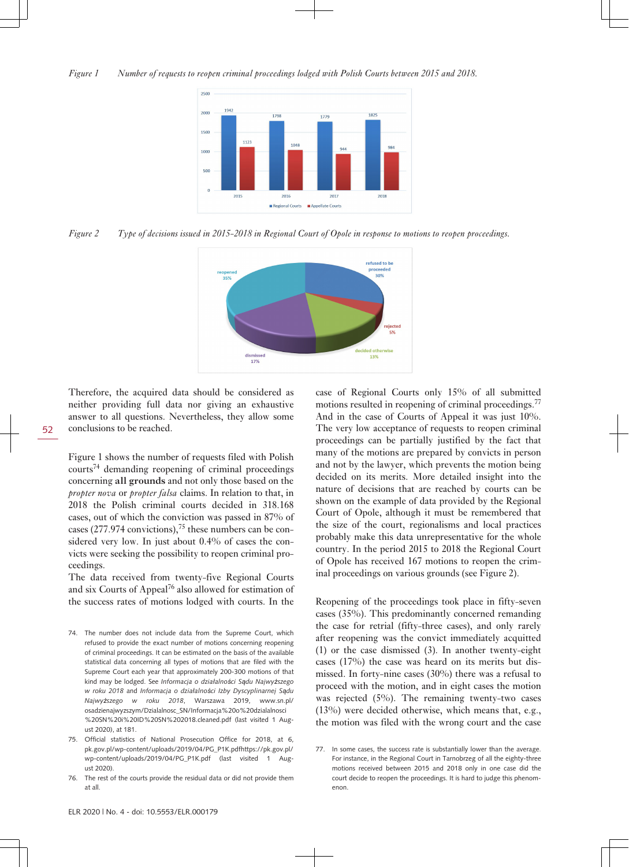

*Figure 2 Type of decisions issued in 2015-2018 in Regional Court of Opole in response to motions to reopen proceedings.*



Therefore, the acquired data should be considered as neither providing full data nor giving an exhaustive answer to all questions. Nevertheless, they allow some conclusions to be reached.

Figure 1 shows the number of requests filed with Polish courts74 demanding reopening of criminal proceedings concerning **all grounds** and not only those based on the *propter nova* or *propter falsa* claims. In relation to that, in 2018 the Polish criminal courts decided in 318.168 cases, out of which the conviction was passed in 87% of cases (277.974 convictions),<sup>75</sup> these numbers can be considered very low. In just about 0.4% of cases the convicts were seeking the possibility to reopen criminal proceedings.

The data received from twenty-five Regional Courts and six Courts of Appeal<sup>76</sup> also allowed for estimation of the success rates of motions lodged with courts. In the

- 74. The number does not include data from the Supreme Court, which refused to provide the exact number of motions concerning reopening of criminal proceedings. It can be estimated on the basis of the available statistical data concerning all types of motions that are filed with the Supreme Court each year that approximately 200-300 motions of that kind may be lodged. See *Informacja o działalności Sądu Najwyższego w roku 2018* and *Informacja o działalności Izby Dyscyplinarnej Sądu Najwyższego w roku 2018*, Warszawa 2019, [www.sn.pl/](http://www.sn.pl/osadzienajwyzszym/Dzialalnosc_SN/Informacja%20o%20dzialalnosci%20SN%20i%20ID%20SN%202018.cleaned.pdf) [osadzienajwyzszym/Dzialalnosc\\_SN/Informacja%20o%20dzialalnosci](http://www.sn.pl/osadzienajwyzszym/Dzialalnosc_SN/Informacja%20o%20dzialalnosci%20SN%20i%20ID%20SN%202018.cleaned.pdf) [%20SN%20i%20ID%20SN%202018.cleaned.pdf](http://www.sn.pl/osadzienajwyzszym/Dzialalnosc_SN/Informacja%20o%20dzialalnosci%20SN%20i%20ID%20SN%202018.cleaned.pdf) (last visited 1 August 2020), at 181.
- 75. Official statistics of National Prosecution Office for 2018, at 6, [pk.gov.pl/wp-content/uploads/2019/04/PG\\_P1K.pdf](http://pk.gov.pl/wp-content/uploads/2019/04/PG_P1K.pdf)[https://pk.gov.pl/](https://pk.gov.pl/wp-content/uploads/2019/04/PG_P1K.pdf) [wp-content/uploads/2019/04/PG\\_P1K.pdf](https://pk.gov.pl/wp-content/uploads/2019/04/PG_P1K.pdf) (last visited 1 August 2020).
- 76. The rest of the courts provide the residual data or did not provide them at all.

case of Regional Courts only 15% of all submitted motions resulted in reopening of criminal proceedings.<sup>77</sup> And in the case of Courts of Appeal it was just 10%. The very low acceptance of requests to reopen criminal proceedings can be partially justified by the fact that many of the motions are prepared by convicts in person and not by the lawyer, which prevents the motion being decided on its merits. More detailed insight into the nature of decisions that are reached by courts can be shown on the example of data provided by the Regional Court of Opole, although it must be remembered that the size of the court, regionalisms and local practices probably make this data unrepresentative for the whole country. In the period 2015 to 2018 the Regional Court of Opole has received 167 motions to reopen the criminal proceedings on various grounds (see Figure 2).

Reopening of the proceedings took place in fifty-seven cases (35%). This predominantly concerned remanding the case for retrial (fifty-three cases), and only rarely after reopening was the convict immediately acquitted (1) or the case dismissed (3). In another twenty-eight cases (17%) the case was heard on its merits but dismissed. In forty-nine cases (30%) there was a refusal to proceed with the motion, and in eight cases the motion was rejected (5%). The remaining twenty-two cases (13%) were decided otherwise, which means that, e.g., the motion was filed with the wrong court and the case

<sup>77.</sup> In some cases, the success rate is substantially lower than the average. For instance, in the Regional Court in Tarnobrzeg of all the eighty-three motions received between 2015 and 2018 only in one case did the court decide to reopen the proceedings. It is hard to judge this phenomenon.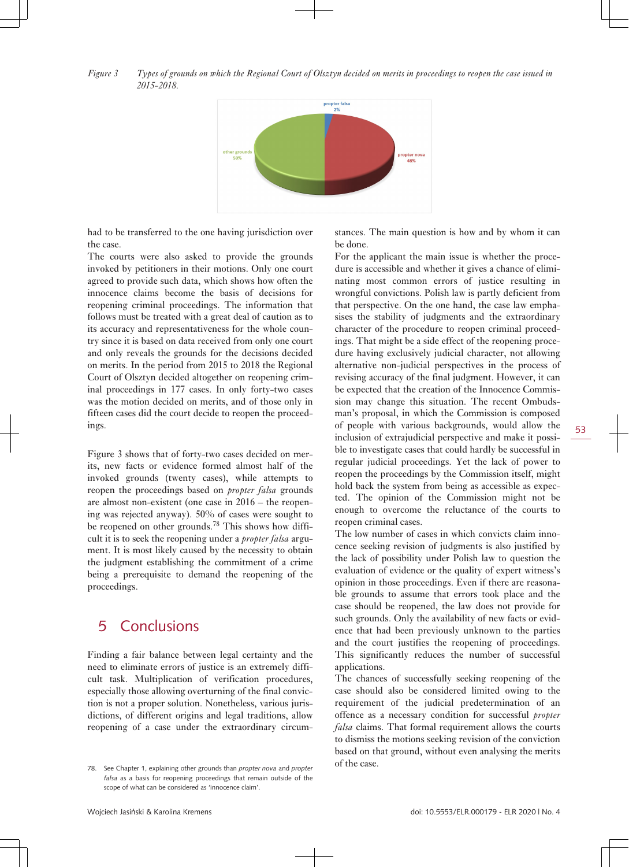#### *Figure 3 Types of grounds on which the Regional Court of Olsztyn decided on merits in proceedings to reopen the case issued in 2015-2018.*



had to be transferred to the one having jurisdiction over the case.

The courts were also asked to provide the grounds invoked by petitioners in their motions. Only one court agreed to provide such data, which shows how often the innocence claims become the basis of decisions for reopening criminal proceedings. The information that follows must be treated with a great deal of caution as to its accuracy and representativeness for the whole country since it is based on data received from only one court and only reveals the grounds for the decisions decided on merits. In the period from 2015 to 2018 the Regional Court of Olsztyn decided altogether on reopening criminal proceedings in 177 cases. In only forty-two cases was the motion decided on merits, and of those only in fifteen cases did the court decide to reopen the proceedings.

Figure 3 shows that of forty-two cases decided on merits, new facts or evidence formed almost half of the invoked grounds (twenty cases), while attempts to reopen the proceedings based on *propter falsa* grounds are almost non-existent (one case in 2016 – the reopening was rejected anyway). 50% of cases were sought to be reopened on other grounds.<sup>78</sup> This shows how difficult it is to seek the reopening under a *propter falsa* argument. It is most likely caused by the necessity to obtain the judgment establishing the commitment of a crime being a prerequisite to demand the reopening of the proceedings.

### 5 Conclusions

Finding a fair balance between legal certainty and the need to eliminate errors of justice is an extremely difficult task. Multiplication of verification procedures, especially those allowing overturning of the final conviction is not a proper solution. Nonetheless, various jurisdictions, of different origins and legal traditions, allow reopening of a case under the extraordinary circumstances. The main question is how and by whom it can be done.

For the applicant the main issue is whether the procedure is accessible and whether it gives a chance of eliminating most common errors of justice resulting in wrongful convictions. Polish law is partly deficient from that perspective. On the one hand, the case law emphasises the stability of judgments and the extraordinary character of the procedure to reopen criminal proceedings. That might be a side effect of the reopening procedure having exclusively judicial character, not allowing alternative non-judicial perspectives in the process of revising accuracy of the final judgment. However, it can be expected that the creation of the Innocence Commission may change this situation. The recent Ombudsman's proposal, in which the Commission is composed of people with various backgrounds, would allow the inclusion of extrajudicial perspective and make it possible to investigate cases that could hardly be successful in regular judicial proceedings. Yet the lack of power to reopen the proceedings by the Commission itself, might hold back the system from being as accessible as expected. The opinion of the Commission might not be enough to overcome the reluctance of the courts to reopen criminal cases.

The low number of cases in which convicts claim innocence seeking revision of judgments is also justified by the lack of possibility under Polish law to question the evaluation of evidence or the quality of expert witness's opinion in those proceedings. Even if there are reasonable grounds to assume that errors took place and the case should be reopened, the law does not provide for such grounds. Only the availability of new facts or evidence that had been previously unknown to the parties and the court justifies the reopening of proceedings. This significantly reduces the number of successful applications.

The chances of successfully seeking reopening of the case should also be considered limited owing to the requirement of the judicial predetermination of an offence as a necessary condition for successful *propter falsa* claims. That formal requirement allows the courts to dismiss the motions seeking revision of the conviction based on that ground, without even analysing the merits of the case.

<sup>78.</sup> See Chapter 1, explaining other grounds than *propter nova* and *propter falsa* as a basis for reopening proceedings that remain outside of the scope of what can be considered as 'innocence claim'.